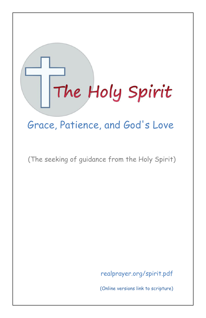# The Holy Spirit

# Grace, Patience, and God's Love

(The seeking of guidance from the Holy Spirit)

[realprayer.org/spirit.pdf](https://www.realprayer.org/spirit.pdf) 

(Online versions link to scripture)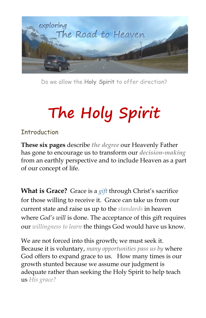

Do we allow the **Holy Spirit** to offer direction?

# **The Holy Spirit**

#### Introduction

**These six pages** describe *the degree* our Heavenly Father has gone to encourage us to transform our *decision-making* from an earthly perspective and to include Heaven as a part of our concept of life.

**What is Grace?** Grace is a *gift* through Christ's sacrifice for those willing to receive it. Grace can take us from our current state and raise us up to the *standards* in heaven where *God's will* is done. The acceptance of this gift requires our *willingness to learn* the things God would have us know.

We are not forced into this growth; we must seek it. Because it is voluntary, *many opportunities pass us by* where God offers to expand grace to us. How many times is our growth stunted because we assume our judgment is adequate rather than seeking the Holy Spirit to help teach us *His grace?*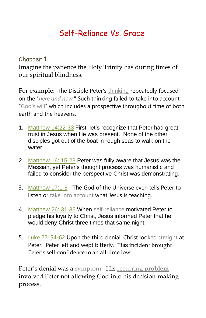## Self-Reliance Vs. Grace

Chapter 1

Imagine the patience the Holy Trinity has during times of our spiritual blindness.

For example: The Disciple Peter's thinking repeatedly focused on the "*here and now.*" Such thinking failed to take into account "God's will" which includes a prospective throughout time of both earth and the heavens.

- 1. [Matthew 14:22-33](https://www.biblegateway.com/passage/?search=Matthew+14%3A22-33%2C+&version=NIV) First, let's recognize that Peter had great trust in Jesus when He was present. None of the other disciples got out of the boat in rough seas to walk on the water.
- 2. [Matthew 16: 15-23](https://www.biblegateway.com/passage/?search=Matthew+16%3A+15-23&version=NIV) Peter was fully aware that Jesus was the Messiah, yet Peter's thought process was humanistic and failed to consider the perspective Christ was demonstrating.
- 3. [Matthew 17:1-8](https://www.biblegateway.com/passage/?search=Matthew+17%3A1-8&version=GW) The God of the Universe even tells Peter to listen or take into account what Jesus is teaching.
- 4. [Matthew 26: 31-35](https://www.biblegateway.com/passage/?search=Matthew+26%3A+31-35&version=NIV) When self-reliance motivated Peter to pledge his loyalty to Christ, Jesus informed Peter that he would deny Christ three times that same night.
- 5. [Luke 22: 54-62](https://www.biblegateway.com/passage/?search=Luke+22%3A+54-62&version=NIV) Upon the third denial, Christ looked straight at Peter. Peter left and wept bitterly. This incident brought Peter's self-confidence to an all-time low.

Peter's denial was a symptom. His recurring **problem** involved Peter not allowing God into his decision-making process.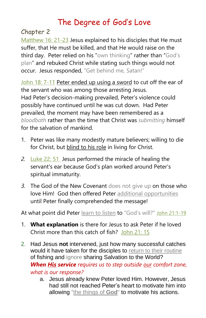# The Degree of God's Love

Chapter 2

[Matthew 16: 21-23](https://www.biblegateway.com/passage/?search=Matthew+16%3A+21-23&version=NIV) Jesus explained to his disciples that He must suffer, that He must be killed, and that He would raise on the third day. Peter relied on his "own thinking" rather than "God's plan" and rebuked Christ while stating such things would not occur. Jesus responded, "Get behind me, Satan!"

[John 18: 7-11](https://www.biblegateway.com/passage/?search=John+18%3A+7-10&version=NIV) Peter ended up using a sword to cut off the ear of the servant who was among those arresting Jesus. Had Peter's decision-making prevailed, Peter's violence could possibly have continued until he was cut down. Had Peter prevailed, the moment may have been remembered as a *bloodbath* rather than the time that Christ was *submitting* himself for the salvation of mankind.

- 1. Peter was like many modestly mature believers; willing to die for Christ, but blind to his role in living for Christ.
- *2.* [Luke 22: 51](https://www.biblegateway.com/passage/?search=Luke+22%3A51&version=NIV) Jesus performed the miracle of healing the servant's ear because God's plan worked around Peter's spiritual immaturity.
- *3.* The God of the New Covenant does not give up on those who love Him! God then offered Peter additional opportunities until Peter finally comprehended the message!

At what point did Peter learn to listen to "God's will?" [John 21:1-19](https://www.biblegateway.com/passage/?search=John+21%3A1-19&version=NIV)

- 1. **What explanation** is there for Jesus to ask Peter if he loved Christ more than this catch of fish? [John 21: 15](https://www.biblegateway.com/passage/?search=John+21%3A15&version=NIV)
- Had Jesus **not** intervened, just how many successful catches would it have taken for the disciples to return to their routine of fishing and ignore sharing Salvation to the World? *When His service requires us to step outside our comfort zone, what is our response?*
	- a. Jesus already knew Peter loved Him. However, Jesus had still not reached Peter's heart to motivate him into allowing "the things of **God**" to motivate his actions.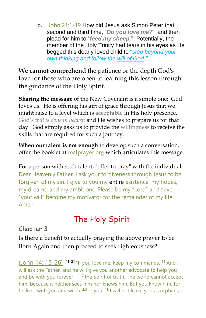b. [John 21:1-19](https://www.biblegateway.com/passage/?search=John+21%3A1-19&version=NIV) How did Jesus ask Simon Peter that second and third time, "*Do you love me*?" and then plead for him to "*feed my sheep*." Potentially, the member of the Holy Trinity had tears in his eyes as He begged this dearly loved child to "*step beyond your own thinking and follow the will of God."*

**We cannot comprehend** the patience or the depth God's love for those who are open to learning this lesson through the guidance of the Holy Spirit.

**Sharing the message** of the New Covenant is a simple one: God loves us. He is offering his gift of grace through Jesus that we might raise to a level which is **acceptable** in His holy presence. God's *will is done in heaven* and He wishes to prepare us for that day. God simply asks us to provide the willingness to receive the skills that are required for such a journey.

**When our talent is not enough** to develop such a conversation, offer the booklet at [realprayer.org](https://www.realprayer.org/) which articulates this message.

For a person with such talent, "offer to pray" with the individual: Dear Heavenly Father, I ask your forgiveness through Jesus to be forgiven of my sin. I give to you my entire existence, my hopes, my dreams, and my ambitions. Please be my "Lord" and have "your will" become my motivator for the remainder of my life. Amen.

# The Holy Spirit

#### Chapter 3

Is there a benefit to actually praying the above prayer to be Born Again and then proceed to seek righteousness?

[\(John 14: 15-26\)](https://www.biblegateway.com/passage/?search=John%2014%3A15-26&version=NIV) **15-21** "If you love me, keep my commands. **<sup>16</sup>** And I will ask the Father, and he will give you another advocate to help you and be with you forever— **<sup>17</sup>** the Spirit of truth. The world cannot accept him, because it neither sees him nor knows him. But you know him, for he lives with you and will be<sup>[\[a\]](https://www.biblegateway.com/passage/?search=John%2014%3A15-26&version=NIV#fen-NIV-26686a)</sup> in you. <sup>18</sup> I will not leave you as orphans; I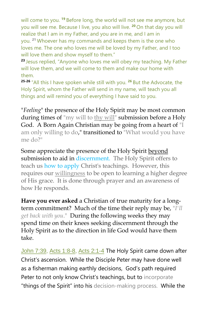will come to you. **<sup>19</sup>** Before long, the world will not see me anymore, but you will see me. Because I live, you also will live. **<sup>20</sup>** On that day you will realize that I am in my Father, and you are in me, and I am in you. **<sup>21</sup>** Whoever has my commands and keeps them is the one who loves me. The one who loves me will be loved by my Father, and I too will love them and show myself to them."

**<sup>23</sup>** Jesus replied, "Anyone who loves me will obey my teaching. My Father will love them, and we will come to them and make our home with them.

**25-26** "All this I have spoken while still with you. **<sup>26</sup>** But the Advocate, the Holy Spirit, whom the Father will send in my name, will teach you all things and will remind you of everything I have said to you.

"*Feeling*" the presence of the Holy Spirit may be most common during times of "my will to thy will" submission before a Holy God. A Born Again Christian may be going from a heart of "I am only willing to do," transitioned to "What would you have me do?"

Some appreciate the presence of the Holy Spirit beyond submission to aid in discernment. The Holy Spirit offers to teach us how to apply Christ's teachings. However, this requires our willingness to be open to learning a higher degree of His grace. It is done through prayer and an awareness of how He responds.

**Have you ever asked** a Christian of true maturity for a longterm commitment? Much of the time their reply may be, "*I'll get back with you*." During the following weeks they may spend time on their knees seeking discernment through the Holy Spirit as to the direction in life God would have them take.

[John 7:39,](https://www.biblegateway.com/passage/?search=John+7%3A39&version=NRSV) [Acts 1:8-8,](https://www.biblegateway.com/passage/?search=Acts+1%3A8-8&version=NRSV) [Acts 2:1-4](https://www.biblegateway.com/passage/?search=Acts+2%3A1-4&version=NRSV) The Holy Spirit came down after Christ's ascension. While the Disciple Peter may have done well as a fisherman making earthly decisions, God's path required Peter to not only know Christ's teachings, but to incorporate "things of the Spirit" into his decision-making process. While the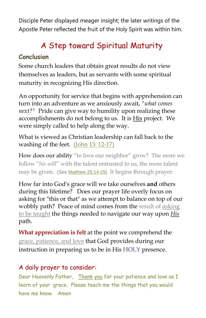Disciple Peter displayed meager insight; the later writings of the Apostle Peter reflected the fruit of the Holy Spirit was within him.

# A Step toward Spiritual Maturity

#### **Conclusion**

Some church leaders that obtain great results do not view themselves as leaders, but as servants with some spiritual maturity in recognizing His direction.

An opportunity for service that begins with apprehension can turn into an adventure as we anxiously await, *"what comes next?"* Pride can give way to humility upon realizing these accomplishments do not belong to us. It is His project. We were simply called to help along the way.

What is viewed as Christian leadership can fall back to the washing of the feet. [\(John 13: 12-17\)](https://www.biblegateway.com/passage/?search=John+13%3A+12-17&version=NIV)

How does our ability "to love our neighbor" grow? The more we follow "*his will*" with the talent entrusted to us, the more talent may be given. (See Matthew 25:14-29) [It begins through](https://www.biblegateway.com/passage/?search=Matthew+25%3A14-29&version=KJ21) prayer[.](https://www.biblegateway.com/passage/?search=Matthew+25%3A14-29&version=KJ21)

How far into God's grace will we take ourselves **and** others during this lifetime? Does our prayer life overly focus on asking for "this or that" as we attempt to balance on top of our wobbly path? Peace of mind comes from the result of asking to be taught the things needed to navigate our way upon *His* path.

**What appreciation is felt** at the point we comprehend the grace, patience, and love that God provides during our instruction in preparing us to be in His HOLY presence.

#### A daily prayer to consider:

Dear Heavenly Father, Thank you for your patience and love as I learn of your grace. Please teach me the things that you would have me know. Amen